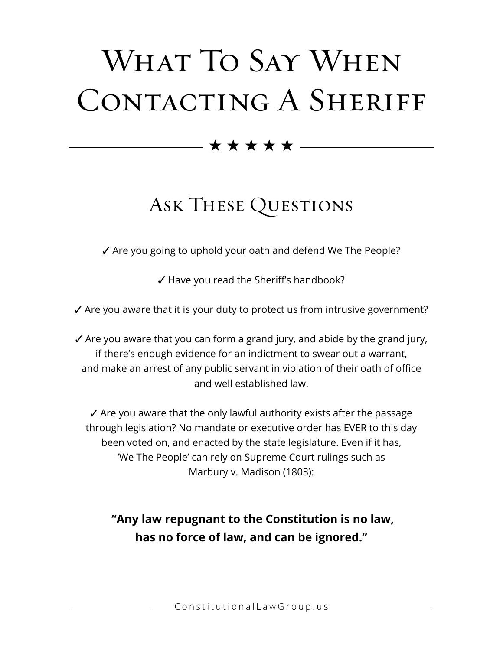# WHAT TO SAY WHEN CONTACTING A SHERIFF

 $\rightarrow \star \star \star \star \textcolor{red}{\star}$ 

## Ask These Questions

 $\checkmark$  Are you going to uphold your oath and defend We The People?

 $\checkmark$  Have you read the Sheriff's handbook?

 $\checkmark$  Are you aware that it is your duty to protect us from intrusive government?

 $\checkmark$  Are you aware that you can form a grand jury, and abide by the grand jury, if there's enough evidence for an indictment to swear out a warrant, and make an arrest of any public servant in violation of their oath of office and well established law.

 $\checkmark$  Are you aware that the only lawful authority exists after the passage through legislation? No mandate or executive order has EVER to this day been voted on, and enacted by the state legislature. Even if it has, 'We The People' can rely on Supreme Court rulings such as Marbury v. Madison (1803):

**"Any law repugnant to the Constitution is no law, has no force of law, and can be ignored."**

ConstitutionalLawGroup.us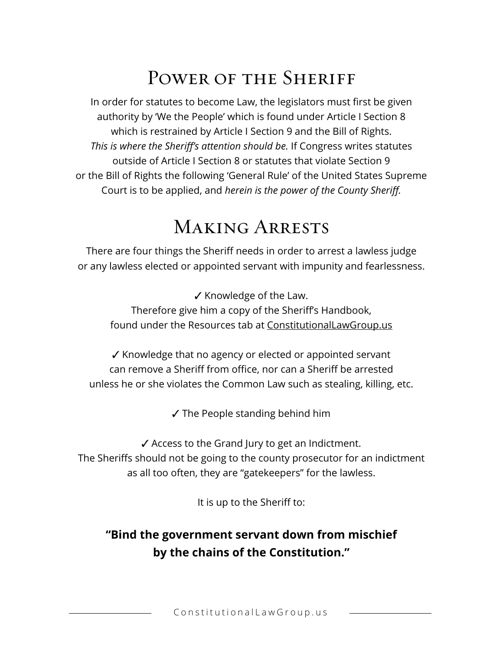## POWER OF THE SHERIFF

In order for statutes to become Law, the legislators must first be given authority by 'We the People' which is found under Article I Section 8 which is restrained by Article I Section 9 and the Bill of Rights. *This is where the Sheriff's attention should be.* If Congress writes statutes outside of Article I Section 8 or statutes that violate Section 9 or the Bill of Rights the following 'General Rule' of the United States Supreme Court is to be applied, and *herein is the power of the County Sheriff.*

## Making Arrests

There are four things the Sheriff needs in order to arrest a lawless judge or any lawless elected or appointed servant with impunity and fearlessness.

 $\checkmark$  Knowledge of the Law. Therefore give him a copy of the Sheriff's Handbook, found under the Resources tab at ConstitutionalLawGroup.us

 $\checkmark$  Knowledge that no agency or elected or appointed servant can remove a Sheriff from office, nor can a Sheriff be arrested unless he or she violates the Common Law such as stealing, killing, etc.

 $\checkmark$  The People standing behind him

 $\checkmark$  Access to the Grand Jury to get an Indictment. The Sheriffs should not be going to the county prosecutor for an indictment as all too often, they are "gatekeepers" for the lawless.

It is up to the Sheriff to:

#### **"Bind the government servant down from mischief by the chains of the Constitution."**

ConstitutionalLawGroup.us